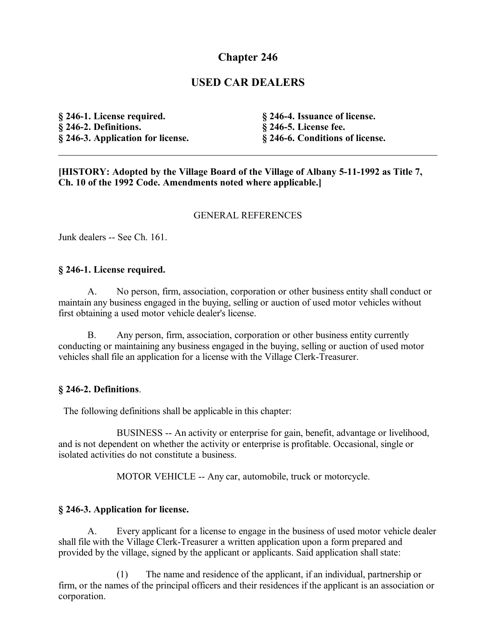# **Chapter 246**

## **USED CAR DEALERS**

**§ 246-1. License required. § 246-2. Definitions. § 246-3. Application for license.** **§ 246-4. Issuance of license. § 246-5. License fee. § 246-6. Conditions of license.**

**[HISTORY: Adopted by the Village Board of the Village of Albany 5-11-1992 as Title 7, Ch. 10 of the 1992 Code. Amendments noted where applicable.]**

#### GENERAL REFERENCES

Junk dealers -- See Ch. 161.

#### **§ 246-1. License required.**

A. No person, firm, association, corporation or other business entity shall conduct or maintain any business engaged in the buying, selling or auction of used motor vehicles without first obtaining a used motor vehicle dealer's license.

B. Any person, firm, association, corporation or other business entity currently conducting or maintaining any business engaged in the buying, selling or auction of used motor vehicles shall file an application for a license with the Village Clerk-Treasurer.

#### **§ 246-2. Definitions**.

The following definitions shall be applicable in this chapter:

BUSINESS -- An activity or enterprise for gain, benefit, advantage or livelihood, and is not dependent on whether the activity or enterprise is profitable. Occasional, single or isolated activities do not constitute a business.

MOTOR VEHICLE -- Any car, automobile, truck or motorcycle.

### **§ 246-3. Application for license.**

A. Every applicant for a license to engage in the business of used motor vehicle dealer shall file with the Village Clerk-Treasurer a written application upon a form prepared and provided by the village, signed by the applicant or applicants. Said application shall state:

(1) The name and residence of the applicant, if an individual, partnership or firm, or the names of the principal officers and their residences if the applicant is an association or corporation.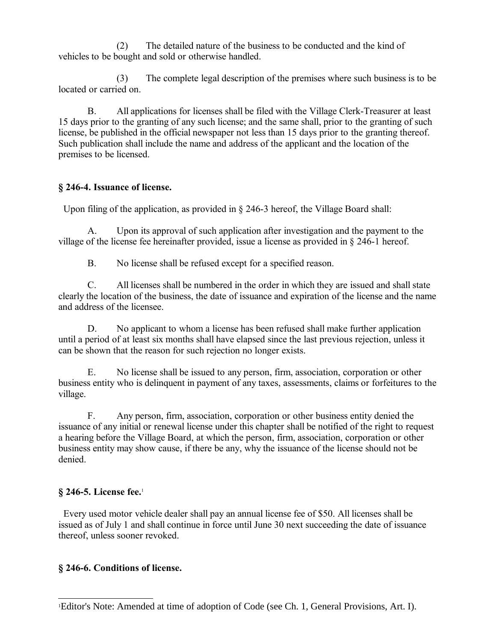(2) The detailed nature of the business to be conducted and the kind of vehicles to be bought and sold or otherwise handled.

(3) The complete legal description of the premises where such business is to be located or carried on.

B. All applications for licenses shall be filed with the Village Clerk-Treasurer at least 15 days prior to the granting of any such license; and the same shall, prior to the granting of such license, be published in the official newspaper not less than 15 days prior to the granting thereof. Such publication shall include the name and address of the applicant and the location of the premises to be licensed.

### **§ 246-4. Issuance of license.**

Upon filing of the application, as provided in § 246-3 hereof, the Village Board shall:

A. Upon its approval of such application after investigation and the payment to the village of the license fee hereinafter provided, issue a license as provided in § 246-1 hereof.

B. No license shall be refused except for a specified reason.

C. All licenses shall be numbered in the order in which they are issued and shall state clearly the location of the business, the date of issuance and expiration of the license and the name and address of the licensee.

D. No applicant to whom a license has been refused shall make further application until a period of at least six months shall have elapsed since the last previous rejection, unless it can be shown that the reason for such rejection no longer exists.

E. No license shall be issued to any person, firm, association, corporation or other business entity who is delinquent in payment of any taxes, assessments, claims or forfeitures to the village.

F. Any person, firm, association, corporation or other business entity denied the issuance of any initial or renewal license under this chapter shall be notified of the right to request a hearing before the Village Board, at which the person, firm, association, corporation or other business entity may show cause, if there be any, why the issuance of the license should not be denied.

## **§ 246-5. License fee.**[1](#page-1-0)

 Every used motor vehicle dealer shall pay an annual license fee of \$50. All licenses shall be issued as of July 1 and shall continue in force until June 30 next succeeding the date of issuance thereof, unless sooner revoked.

### **§ 246-6. Conditions of license.**

<span id="page-1-0"></span><sup>1</sup>Editor's Note: Amended at time of adoption of Code (see Ch. 1, General Provisions, Art. I).